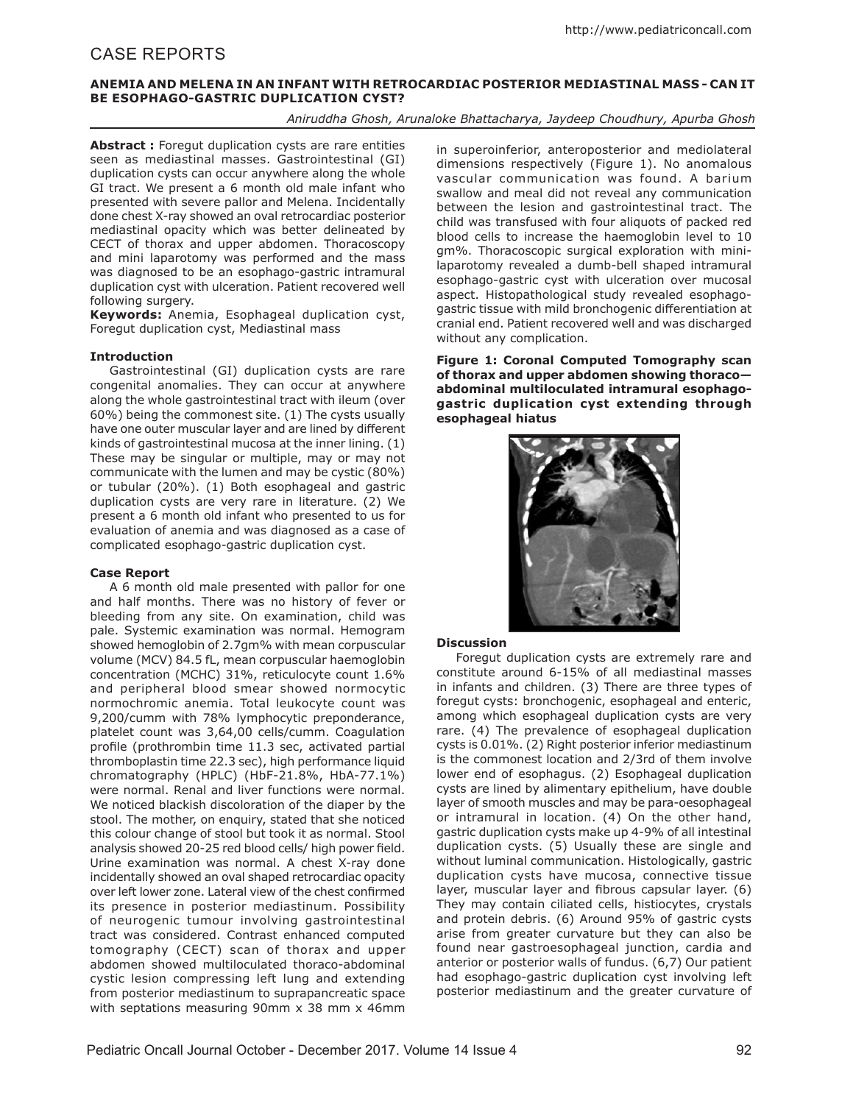# CASE REPORTS

### **ANEMIA AND MELENA IN AN INFANT WITH RETROCARDIAC POSTERIOR MEDIASTINAL MASS - CAN IT BE ESOPHAGO-GASTRIC DUPLICATION CYST?**

*Aniruddha Ghosh, Arunaloke Bhattacharya, Jaydeep Choudhury, Apurba Ghosh*

Abstract : Foregut duplication cysts are rare entities seen as mediastinal masses. Gastrointestinal (GI) duplication cysts can occur anywhere along the whole GI tract. We present a 6 month old male infant who presented with severe pallor and Melena. Incidentally done chest X-ray showed an oval retrocardiac posterior mediastinal opacity which was better delineated by CECT of thorax and upper abdomen. Thoracoscopy and mini laparotomy was performed and the mass was diagnosed to be an esophago-gastric intramural duplication cyst with ulceration. Patient recovered well following surgery.

**Keywords:** Anemia, Esophageal duplication cyst, Foregut duplication cyst, Mediastinal mass

### **Introduction**

Gastrointestinal (GI) duplication cysts are rare congenital anomalies. They can occur at anywhere along the whole gastrointestinal tract with ileum (over 60%) being the commonest site. (1) The cysts usually have one outer muscular layer and are lined by different kinds of gastrointestinal mucosa at the inner lining. (1) These may be singular or multiple, may or may not communicate with the lumen and may be cystic (80%) or tubular (20%). (1) Both esophageal and gastric duplication cysts are very rare in literature. (2) We present a 6 month old infant who presented to us for evaluation of anemia and was diagnosed as a case of complicated esophago-gastric duplication cyst.

### **Case Report**

A 6 month old male presented with pallor for one and half months. There was no history of fever or bleeding from any site. On examination, child was pale. Systemic examination was normal. Hemogram showed hemoglobin of 2.7gm% with mean corpuscular volume (MCV) 84.5 fL, mean corpuscular haemoglobin concentration (MCHC) 31%, reticulocyte count 1.6% and peripheral blood smear showed normocytic normochromic anemia. Total leukocyte count was 9,200/cumm with 78% lymphocytic preponderance, platelet count was 3,64,00 cells/cumm. Coagulation profile (prothrombin time 11.3 sec, activated partial thromboplastin time 22.3 sec), high performance liquid chromatography (HPLC) (HbF-21.8%, HbA-77.1%) were normal. Renal and liver functions were normal. We noticed blackish discoloration of the diaper by the stool. The mother, on enquiry, stated that she noticed this colour change of stool but took it as normal. Stool analysis showed 20-25 red blood cells/ high power field. Urine examination was normal. A chest X-ray done incidentally showed an oval shaped retrocardiac opacity over left lower zone. Lateral view of the chest confirmed its presence in posterior mediastinum. Possibility of neurogenic tumour involving gastrointestinal tract was considered. Contrast enhanced computed tomography (CECT) scan of thorax and upper abdomen showed multiloculated thoraco-abdominal cystic lesion compressing left lung and extending from posterior mediastinum to suprapancreatic space with septations measuring 90mm x 38 mm x 46mm in superoinferior, anteroposterior and mediolateral dimensions respectively (Figure 1). No anomalous vascular communication was found. A barium swallow and meal did not reveal any communication between the lesion and gastrointestinal tract. The child was transfused with four aliquots of packed red blood cells to increase the haemoglobin level to 10 gm%. Thoracoscopic surgical exploration with minilaparotomy revealed a dumb-bell shaped intramural esophago-gastric cyst with ulceration over mucosal aspect. Histopathological study revealed esophagogastric tissue with mild bronchogenic differentiation at cranial end. Patient recovered well and was discharged without any complication.

**Figure 1: Coronal Computed Tomography scan of thorax and upper abdomen showing thoraco abdominal multiloculated intramural esophagogastric duplication cyst extending through esophageal hiatus**



### **Discussion**

Foregut duplication cysts are extremely rare and constitute around 6-15% of all mediastinal masses in infants and children. (3) There are three types of foregut cysts: bronchogenic, esophageal and enteric, among which esophageal duplication cysts are very rare. (4) The prevalence of esophageal duplication cysts is 0.01%. (2) Right posterior inferior mediastinum is the commonest location and 2/3rd of them involve lower end of esophagus. (2) Esophageal duplication cysts are lined by alimentary epithelium, have double layer of smooth muscles and may be para-oesophageal or intramural in location. (4) On the other hand, gastric duplication cysts make up 4-9% of all intestinal duplication cysts. (5) Usually these are single and without luminal communication. Histologically, gastric duplication cysts have mucosa, connective tissue layer, muscular layer and fibrous capsular layer. (6) They may contain ciliated cells, histiocytes, crystals and protein debris. (6) Around 95% of gastric cysts arise from greater curvature but they can also be found near gastroesophageal junction, cardia and anterior or posterior walls of fundus. (6,7) Our patient had esophago-gastric duplication cyst involving left posterior mediastinum and the greater curvature of